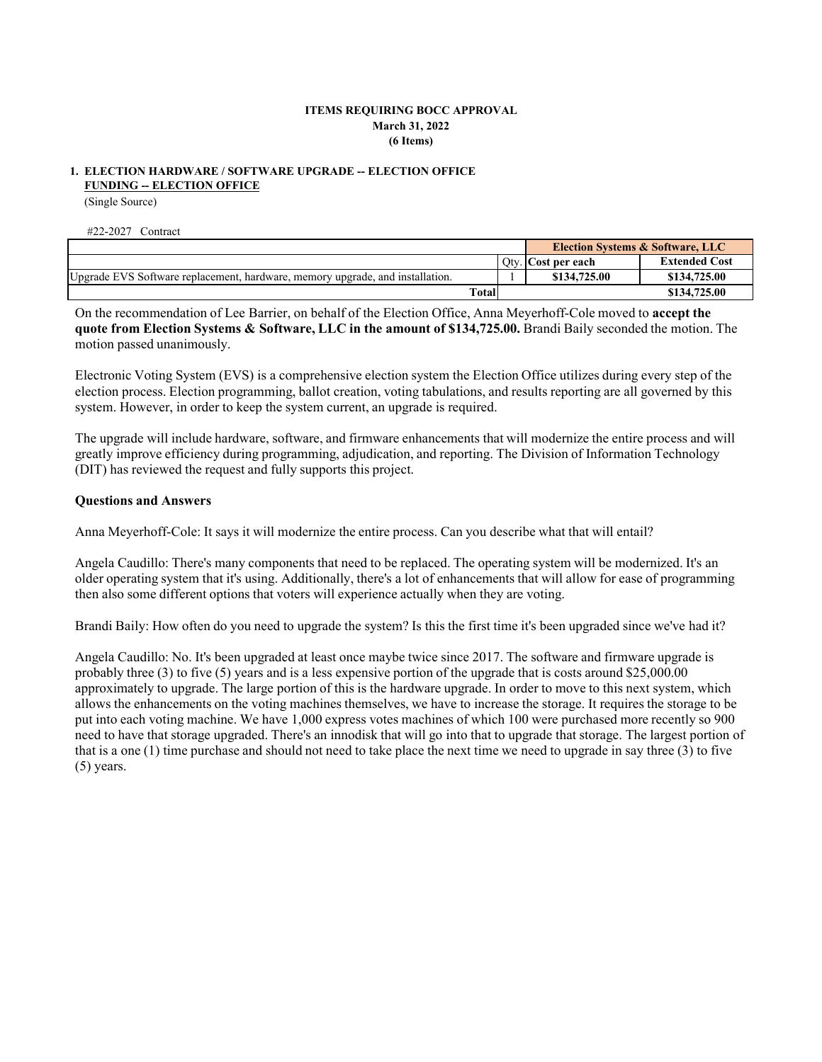# **ITEMS REQUIRING BOCC APPROVAL March 31, 2022 (6 Items)**

### **FUNDING -- ELECTION OFFICE 1. ELECTION HARDWARE / SOFTWARE UPGRADE -- ELECTION OFFICE**

(Single Source)

#22-2027 Contract

|                                                                               |       | <b>Election Systems &amp; Software, LLC</b> |                      |
|-------------------------------------------------------------------------------|-------|---------------------------------------------|----------------------|
|                                                                               |       | Oty. Cost per each                          | <b>Extended Cost</b> |
| Upgrade EVS Software replacement, hardware, memory upgrade, and installation. |       | \$134,725.00                                | \$134,725.00         |
|                                                                               | Total |                                             | \$134,725.00         |

On the recommendation of Lee Barrier, on behalf of the Election Office, Anna Meyerhoff-Cole moved to **accept the quote from Election Systems & Software, LLC in the amount of \$134,725.00.** Brandi Baily seconded the motion. The motion passed unanimously.

Electronic Voting System (EVS) is a comprehensive election system the Election Office utilizes during every step of the election process. Election programming, ballot creation, voting tabulations, and results reporting are all governed by this system. However, in order to keep the system current, an upgrade is required.

The upgrade will include hardware, software, and firmware enhancements that will modernize the entire process and will greatly improve efficiency during programming, adjudication, and reporting. The Division of Information Technology (DIT) has reviewed the request and fully supports this project.

# **Questions and Answers**

Anna Meyerhoff-Cole: It says it will modernize the entire process. Can you describe what that will entail?

Angela Caudillo: There's many components that need to be replaced. The operating system will be modernized. It's an older operating system that it's using. Additionally, there's a lot of enhancements that will allow for ease of programming then also some different options that voters will experience actually when they are voting.

Brandi Baily: How often do you need to upgrade the system? Is this the first time it's been upgraded since we've had it?

Angela Caudillo: No. It's been upgraded at least once maybe twice since 2017. The software and firmware upgrade is probably three (3) to five (5) years and is a less expensive portion of the upgrade that is costs around \$25,000.00 approximately to upgrade. The large portion of this is the hardware upgrade. In order to move to this next system, which allows the enhancements on the voting machines themselves, we have to increase the storage. It requires the storage to be put into each voting machine. We have 1,000 express votes machines of which 100 were purchased more recently so 900 need to have that storage upgraded. There's an innodisk that will go into that to upgrade that storage. The largest portion of that is a one (1) time purchase and should not need to take place the next time we need to upgrade in say three (3) to five (5) years.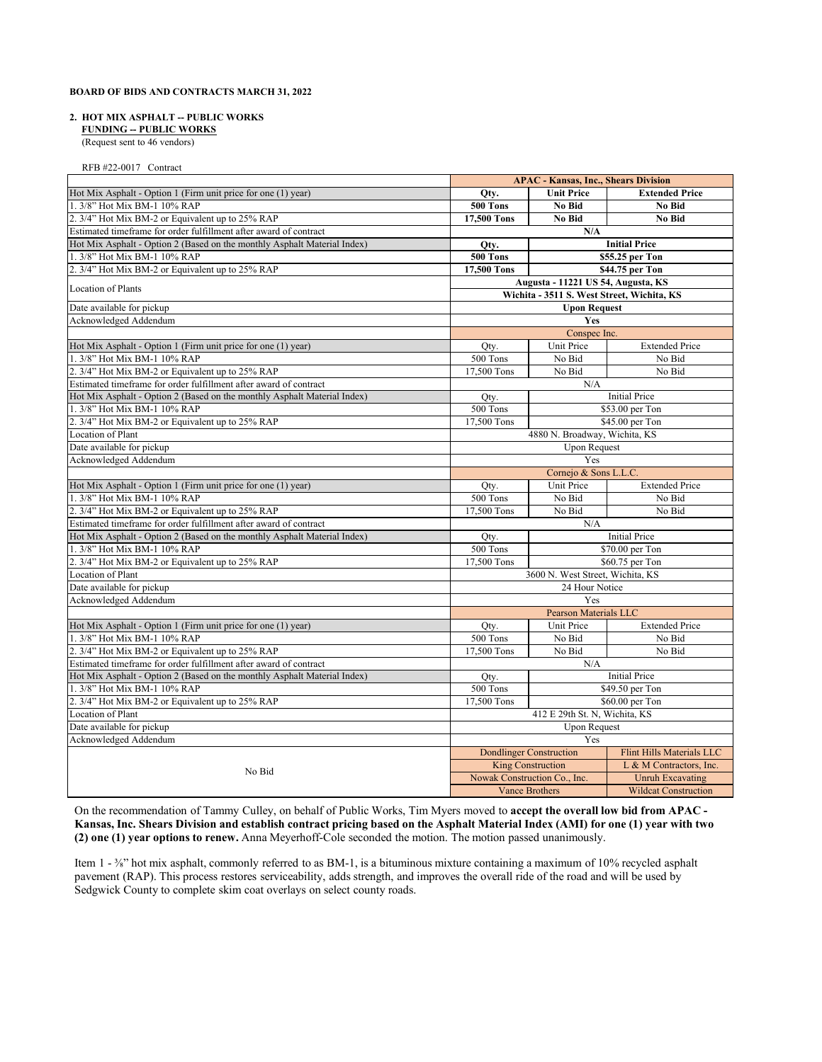### **2. HOT MIX ASPHALT -- PUBLIC WORKS**

 **FUNDING -- PUBLIC WORKS**

(Request sent to 46 vendors)

RFB #22-0017 Contract

|                                                                          | <b>APAC - Kansas, Inc., Shears Division</b> |                                            |                                  |
|--------------------------------------------------------------------------|---------------------------------------------|--------------------------------------------|----------------------------------|
| Hot Mix Asphalt - Option 1 (Firm unit price for one (1) year)            | Qty.                                        | <b>Unit Price</b>                          | <b>Extended Price</b>            |
| 1.3/8" Hot Mix BM-1 10% RAP                                              | <b>500 Tons</b>                             | No Bid                                     | No Bid                           |
| 2. 3/4" Hot Mix BM-2 or Equivalent up to 25% RAP                         | 17,500 Tons                                 | No Bid                                     | No Bid                           |
| Estimated timeframe for order fulfillment after award of contract        | N/A                                         |                                            |                                  |
| Hot Mix Asphalt - Option 2 (Based on the monthly Asphalt Material Index) | Qty.                                        |                                            | <b>Initial Price</b>             |
| 1. 3/8" Hot Mix BM-1 10% RAP                                             | 500 Tons                                    |                                            | \$55.25 per Ton                  |
| 2. 3/4" Hot Mix BM-2 or Equivalent up to 25% RAP                         | 17,500 Tons                                 |                                            | \$44.75 per Ton                  |
|                                                                          |                                             | Augusta - 11221 US 54, Augusta, KS         |                                  |
| <b>Location of Plants</b>                                                |                                             | Wichita - 3511 S. West Street, Wichita, KS |                                  |
| Date available for pickup                                                |                                             | <b>Upon Request</b>                        |                                  |
| Acknowledged Addendum                                                    |                                             | Yes                                        |                                  |
|                                                                          |                                             | Conspec Inc.                               |                                  |
| Hot Mix Asphalt - Option 1 (Firm unit price for one (1) year)            | Qty.                                        | Unit Price                                 | <b>Extended Price</b>            |
| 1. 3/8" Hot Mix BM-1 10% RAP                                             | 500 Tons                                    | No Bid                                     | No Bid                           |
| 2. 3/4" Hot Mix BM-2 or Equivalent up to 25% RAP                         | 17,500 Tons                                 | No Bid                                     | No Bid                           |
| Estimated timeframe for order fulfillment after award of contract        |                                             | N/A                                        |                                  |
| Hot Mix Asphalt - Option 2 (Based on the monthly Asphalt Material Index) | Oty.                                        |                                            | <b>Initial Price</b>             |
| 1. 3/8" Hot Mix BM-1 10% RAP                                             | 500 Tons                                    |                                            | \$53.00 per Ton                  |
| 2. 3/4" Hot Mix BM-2 or Equivalent up to 25% RAP                         | 17,500 Tons                                 |                                            | \$45.00 per Ton                  |
| <b>Location of Plant</b>                                                 |                                             | 4880 N. Broadway, Wichita, KS              |                                  |
| Date available for pickup                                                |                                             | <b>Upon Request</b>                        |                                  |
| Acknowledged Addendum                                                    |                                             | Yes                                        |                                  |
|                                                                          |                                             | Cornejo & Sons L.L.C.                      |                                  |
| Hot Mix Asphalt - Option 1 (Firm unit price for one (1) year)            | Oty.                                        | Unit Price                                 | <b>Extended Price</b>            |
| 1.3/8" Hot Mix BM-1 10% RAP                                              | 500 Tons                                    | No Bid                                     | No Bid                           |
| 2. 3/4" Hot Mix BM-2 or Equivalent up to 25% RAP                         | 17,500 Tons                                 | No Bid                                     | No Bid                           |
| Estimated timeframe for order fulfillment after award of contract        |                                             | N/A                                        |                                  |
| Hot Mix Asphalt - Option 2 (Based on the monthly Asphalt Material Index) | Qty.                                        |                                            | <b>Initial Price</b>             |
| 1.3/8" Hot Mix BM-1 10% RAP                                              | 500 Tons                                    |                                            | \$70.00 per Ton                  |
| 2. 3/4" Hot Mix BM-2 or Equivalent up to 25% RAP                         | 17,500 Tons                                 |                                            | \$60.75 per Ton                  |
| Location of Plant                                                        |                                             | 3600 N. West Street, Wichita, KS           |                                  |
| Date available for pickup                                                |                                             | 24 Hour Notice                             |                                  |
| Acknowledged Addendum                                                    | Yes                                         |                                            |                                  |
|                                                                          |                                             | Pearson Materials LLC                      |                                  |
| Hot Mix Asphalt - Option 1 (Firm unit price for one (1) year)            | Qty.                                        | Unit Price                                 | <b>Extended Price</b>            |
| 1. 3/8" Hot Mix BM-1 10% RAP                                             | 500 Tons                                    | No Bid                                     | No Bid                           |
| 2. 3/4" Hot Mix BM-2 or Equivalent up to 25% RAP                         | 17,500 Tons                                 | No Bid                                     | No Bid                           |
| Estimated timeframe for order fulfillment after award of contract        |                                             | N/A                                        |                                  |
| Hot Mix Asphalt - Option 2 (Based on the monthly Asphalt Material Index) | Oty.                                        | <b>Initial Price</b>                       |                                  |
| 1. 3/8" Hot Mix BM-1 10% RAP                                             | 500 Tons                                    | \$49.50 per Ton                            |                                  |
| 2. 3/4" Hot Mix BM-2 or Equivalent up to 25% RAP                         | 17,500 Tons<br>\$60.00 per Ton              |                                            |                                  |
| Location of Plant                                                        | 412 E 29th St. N, Wichita, KS               |                                            |                                  |
| Date available for pickup                                                |                                             | <b>Upon Request</b>                        |                                  |
| Acknowledged Addendum                                                    |                                             | Yes                                        |                                  |
|                                                                          |                                             | <b>Dondlinger Construction</b>             | <b>Flint Hills Materials LLC</b> |
| No Bid                                                                   |                                             | <b>King Construction</b>                   | L & M Contractors, Inc.          |
|                                                                          |                                             | Nowak Construction Co., Inc.               | <b>Unruh Excavating</b>          |
|                                                                          |                                             | <b>Vance Brothers</b>                      | <b>Wildcat Construction</b>      |

On the recommendation of Tammy Culley, on behalf of Public Works, Tim Myers moved to **accept the overall low bid from APAC - Kansas, Inc. Shears Division and establish contract pricing based on the Asphalt Material Index (AMI) for one (1) year with two (2) one (1) year options to renew.** Anna Meyerhoff-Cole seconded the motion. The motion passed unanimously.

Item 1 - ¾" hot mix asphalt, commonly referred to as BM-1, is a bituminous mixture containing a maximum of 10% recycled asphalt pavement (RAP). This process restores serviceability, adds strength, and improves the overall ride of the road and will be used by Sedgwick County to complete skim coat overlays on select county roads.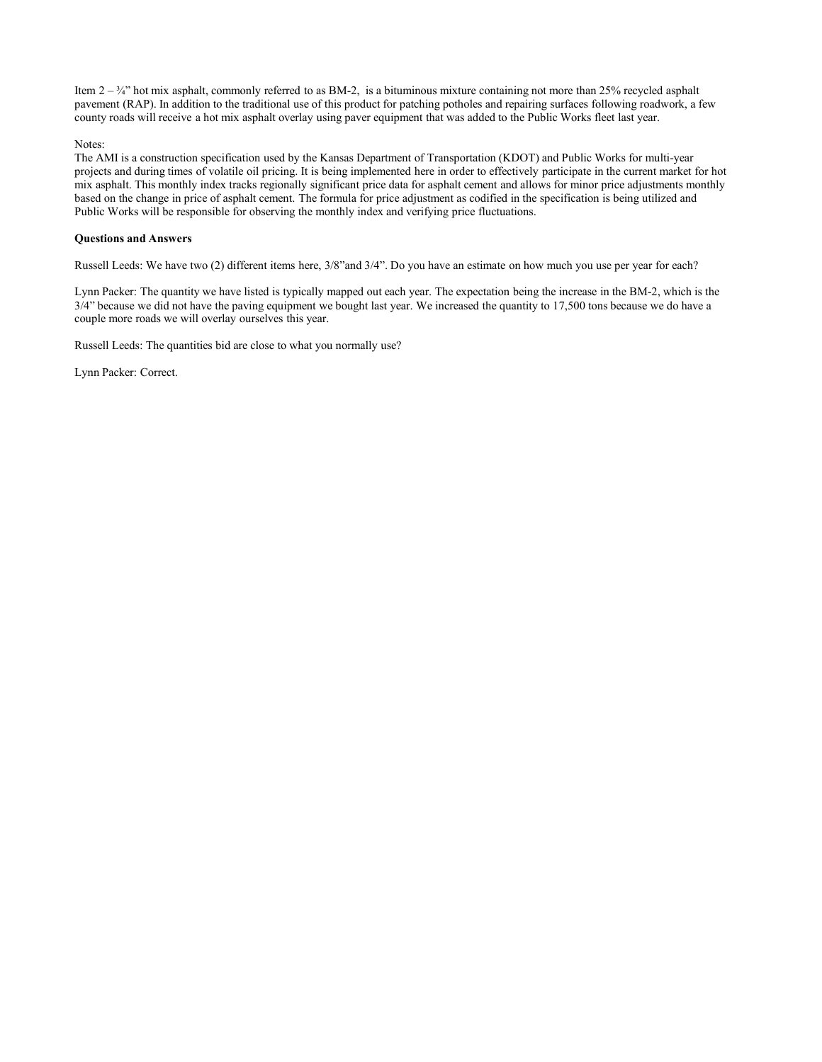Item  $2 - \frac{3}{4}$  hot mix asphalt, commonly referred to as BM-2, is a bituminous mixture containing not more than 25% recycled asphalt pavement (RAP). In addition to the traditional use of this product for patching potholes and repairing surfaces following roadwork, a few county roads will receive a hot mix asphalt overlay using paver equipment that was added to the Public Works fleet last year.

Notes:

The AMI is a construction specification used by the Kansas Department of Transportation (KDOT) and Public Works for multi-year projects and during times of volatile oil pricing. It is being implemented here in order to effectively participate in the current market for hot mix asphalt. This monthly index tracks regionally significant price data for asphalt cement and allows for minor price adjustments monthly based on the change in price of asphalt cement. The formula for price adjustment as codified in the specification is being utilized and Public Works will be responsible for observing the monthly index and verifying price fluctuations.

### **Questions and Answers**

Russell Leeds: We have two (2) different items here, 3/8"and 3/4". Do you have an estimate on how much you use per year for each?

Lynn Packer: The quantity we have listed is typically mapped out each year. The expectation being the increase in the BM-2, which is the 3/4" because we did not have the paving equipment we bought last year. We increased the quantity to 17,500 tons because we do have a couple more roads we will overlay ourselves this year.

Russell Leeds: The quantities bid are close to what you normally use?

Lynn Packer: Correct.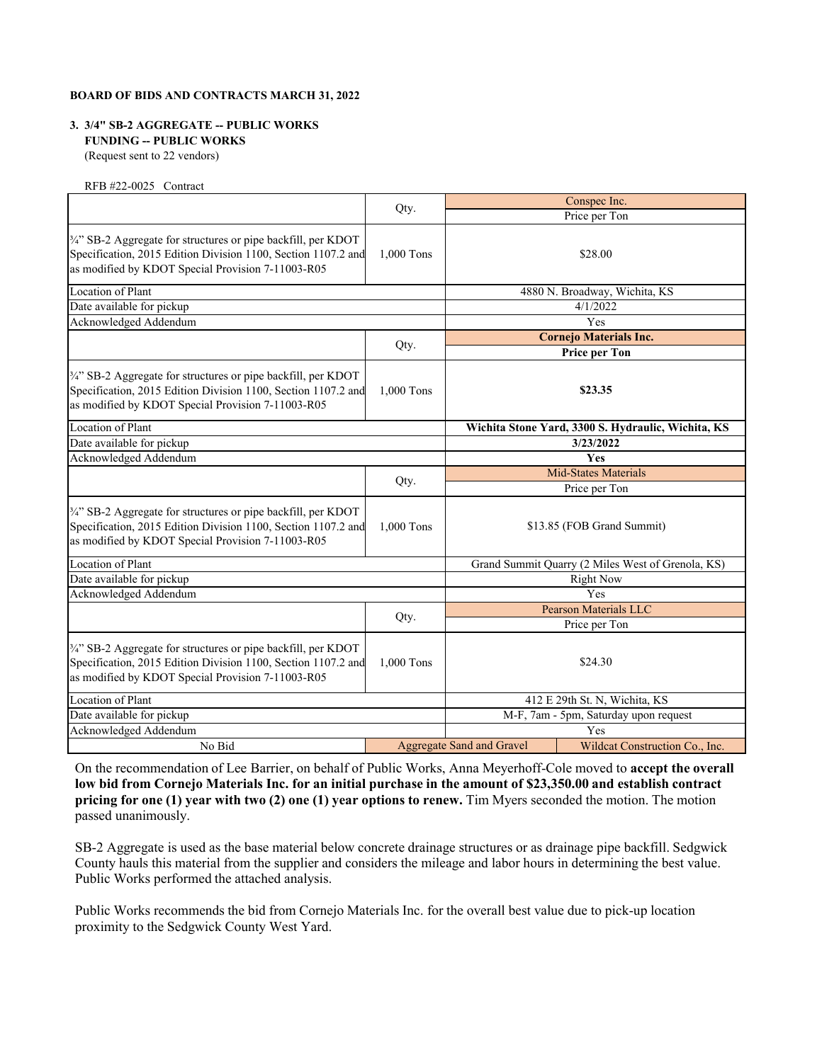# **3. 3/4" SB-2 AGGREGATE -- PUBLIC WORKS FUNDING -- PUBLIC WORKS**

(Request sent to 22 vendors)

RFB #22-0025 Contract

|                                                                                                                                                                                     |            |                                  | Conspec Inc.                                       |
|-------------------------------------------------------------------------------------------------------------------------------------------------------------------------------------|------------|----------------------------------|----------------------------------------------------|
|                                                                                                                                                                                     | Qty.       |                                  | Price per Ton                                      |
| 3/4" SB-2 Aggregate for structures or pipe backfill, per KDOT<br>Specification, 2015 Edition Division 1100, Section 1107.2 and<br>as modified by KDOT Special Provision 7-11003-R05 | 1,000 Tons |                                  | \$28.00                                            |
| <b>Location of Plant</b>                                                                                                                                                            |            |                                  | 4880 N. Broadway, Wichita, KS                      |
| Date available for pickup                                                                                                                                                           |            |                                  | 4/1/2022                                           |
| Acknowledged Addendum                                                                                                                                                               |            |                                  | Yes                                                |
|                                                                                                                                                                                     |            |                                  | <b>Cornejo Materials Inc.</b>                      |
|                                                                                                                                                                                     | Qty.       |                                  | <b>Price per Ton</b>                               |
| 3/4" SB-2 Aggregate for structures or pipe backfill, per KDOT<br>Specification, 2015 Edition Division 1100, Section 1107.2 and<br>as modified by KDOT Special Provision 7-11003-R05 | 1,000 Tons |                                  | \$23.35                                            |
| Location of Plant                                                                                                                                                                   |            |                                  | Wichita Stone Yard, 3300 S. Hydraulic, Wichita, KS |
| Date available for pickup                                                                                                                                                           |            |                                  | 3/23/2022                                          |
| Acknowledged Addendum                                                                                                                                                               |            |                                  | <b>Yes</b>                                         |
|                                                                                                                                                                                     |            |                                  | <b>Mid-States Materials</b>                        |
|                                                                                                                                                                                     | Qty.       |                                  | Price per Ton                                      |
| 3/4" SB-2 Aggregate for structures or pipe backfill, per KDOT<br>Specification, 2015 Edition Division 1100, Section 1107.2 and<br>as modified by KDOT Special Provision 7-11003-R05 | 1,000 Tons |                                  | \$13.85 (FOB Grand Summit)                         |
| Location of Plant                                                                                                                                                                   |            |                                  | Grand Summit Quarry (2 Miles West of Grenola, KS)  |
| Date available for pickup                                                                                                                                                           |            |                                  | <b>Right Now</b>                                   |
| Acknowledged Addendum                                                                                                                                                               |            |                                  | Yes                                                |
|                                                                                                                                                                                     |            |                                  | Pearson Materials LLC                              |
|                                                                                                                                                                                     | Qty.       |                                  | Price per Ton                                      |
| 3/4" SB-2 Aggregate for structures or pipe backfill, per KDOT<br>Specification, 2015 Edition Division 1100, Section 1107.2 and<br>as modified by KDOT Special Provision 7-11003-R05 | 1,000 Tons |                                  | \$24.30                                            |
| Location of Plant                                                                                                                                                                   |            |                                  | 412 E 29th St. N, Wichita, KS                      |
| Date available for pickup                                                                                                                                                           |            |                                  | M-F, 7am - 5pm, Saturday upon request              |
| Acknowledged Addendum                                                                                                                                                               |            |                                  | Yes                                                |
| No Bid                                                                                                                                                                              |            | <b>Aggregate Sand and Gravel</b> | Wildcat Construction Co., Inc.                     |

On the recommendation of Lee Barrier, on behalf of Public Works, Anna Meyerhoff-Cole moved to **accept the overall low bid from Cornejo Materials Inc. for an initial purchase in the amount of \$23,350.00 and establish contract pricing for one (1) year with two (2) one (1) year options to renew.** Tim Myers seconded the motion. The motion passed unanimously.

SB-2 Aggregate is used as the base material below concrete drainage structures or as drainage pipe backfill. Sedgwick County hauls this material from the supplier and considers the mileage and labor hours in determining the best value. Public Works performed the attached analysis.

Public Works recommends the bid from Cornejo Materials Inc. for the overall best value due to pick-up location proximity to the Sedgwick County West Yard.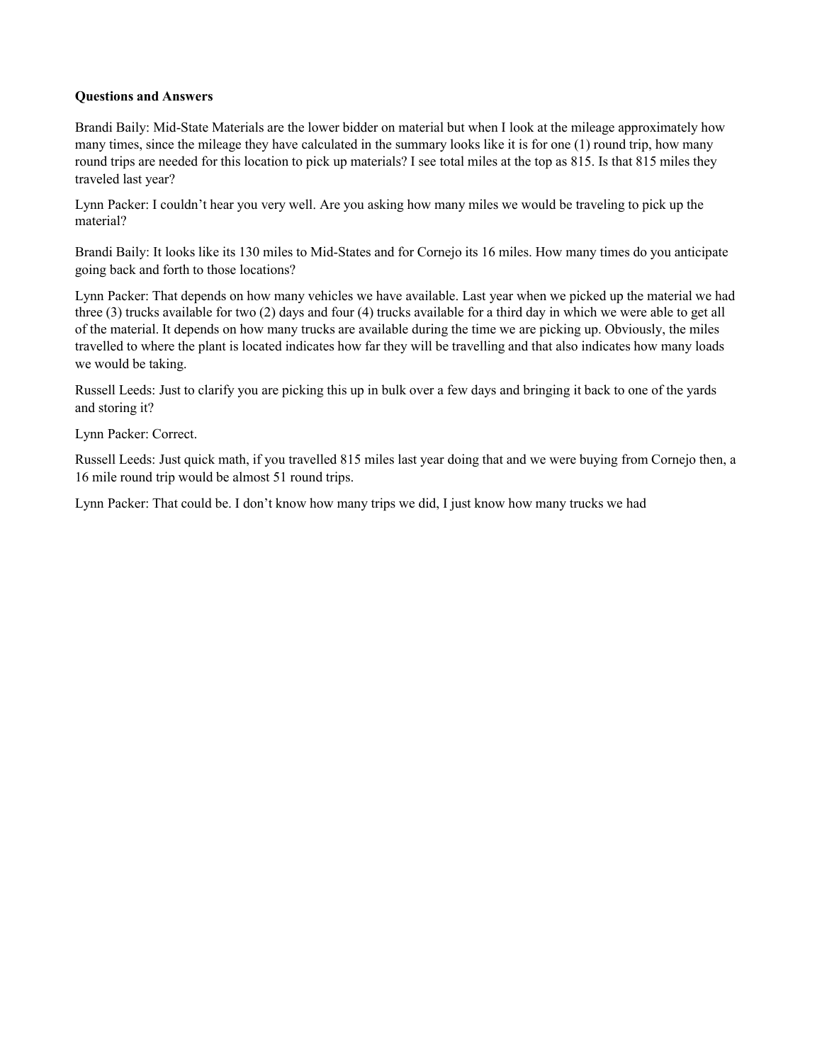# **Questions and Answers**

Brandi Baily: Mid-State Materials are the lower bidder on material but when I look at the mileage approximately how many times, since the mileage they have calculated in the summary looks like it is for one (1) round trip, how many round trips are needed for this location to pick up materials? I see total miles at the top as 815. Is that 815 miles they traveled last year?

Lynn Packer: I couldn't hear you very well. Are you asking how many miles we would be traveling to pick up the material?

Brandi Baily: It looks like its 130 miles to Mid-States and for Cornejo its 16 miles. How many times do you anticipate going back and forth to those locations?

Lynn Packer: That depends on how many vehicles we have available. Last year when we picked up the material we had three (3) trucks available for two (2) days and four (4) trucks available for a third day in which we were able to get all of the material. It depends on how many trucks are available during the time we are picking up. Obviously, the miles travelled to where the plant is located indicates how far they will be travelling and that also indicates how many loads we would be taking.

Russell Leeds: Just to clarify you are picking this up in bulk over a few days and bringing it back to one of the yards and storing it?

Lynn Packer: Correct.

Russell Leeds: Just quick math, if you travelled 815 miles last year doing that and we were buying from Cornejo then, a 16 mile round trip would be almost 51 round trips.

Lynn Packer: That could be. I don't know how many trips we did, I just know how many trucks we had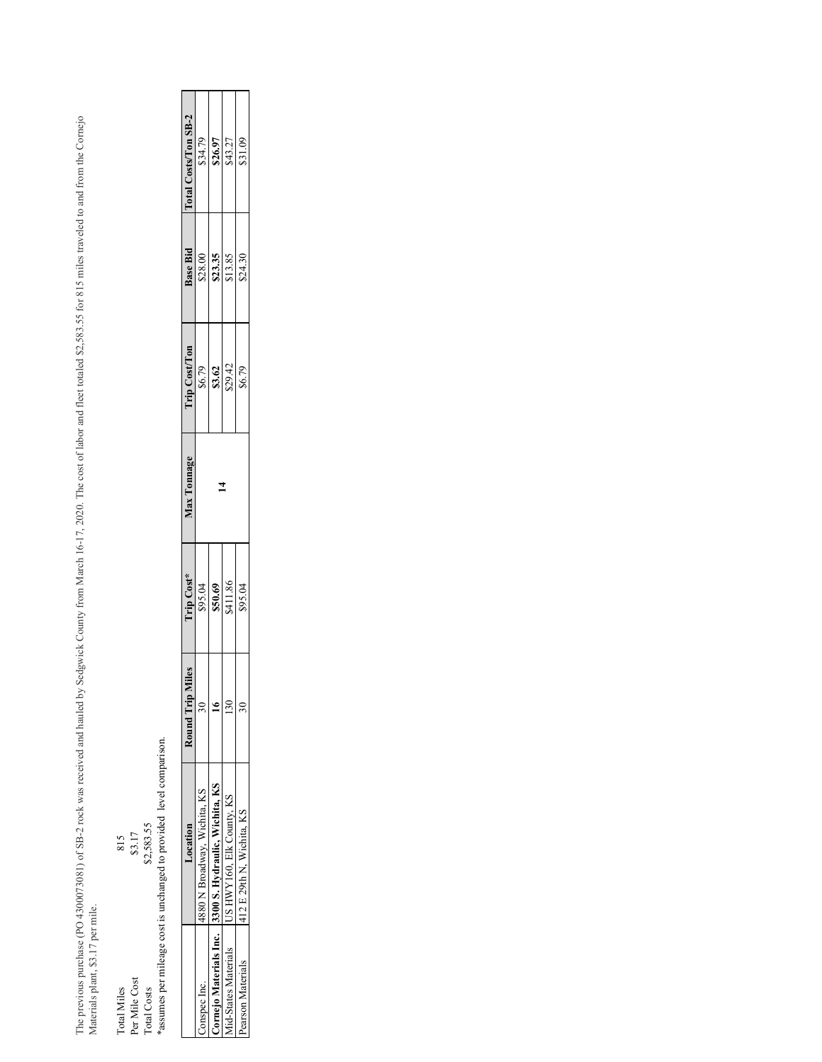The previous purchase (PO 4300073081) of SB-2 rock was received and hauled by Sedgwick County from March 16-17, 2020. The cost of labor and fleet totaled \$2,583.55 for 815 miles traveled to and from the Cornejo<br>Materials p The previous purchase (PO 43081) of SB-2 rock was received and hauled by Sedgwick County from March 16-17, 2020. The cost of labor and fleet totaled \$2,583.55 for 815 miles traveled to and from the Cornejo Materials plant, \$3.17 per mile.

| 815         | \$3.17        | \$2,583.55  | assumes per mileage cost is unchanged to provided level comparison. |
|-------------|---------------|-------------|---------------------------------------------------------------------|
| Total Miles | Per Mile Cost | Total Costs |                                                                     |

|  | diles | <b>Trip Cost*</b> | <b>Max Tonnage</b> | <b>Trip Cost/Ton</b> | <b>Base Bid</b> | Total Costs/Ton SB-2 |
|--|-------|-------------------|--------------------|----------------------|-----------------|----------------------|
|  |       | \$95.04           |                    | \$6.79               | \$28.00         | \$34.79              |
|  |       | \$50.69           |                    | \$3.62               | \$23.35         | \$26.97              |
|  |       | \$411.86          |                    | \$29.42              | \$13.85         | \$43.27              |
|  |       | \$95.04           |                    | \$6.79               | \$24.30         | \$31.09              |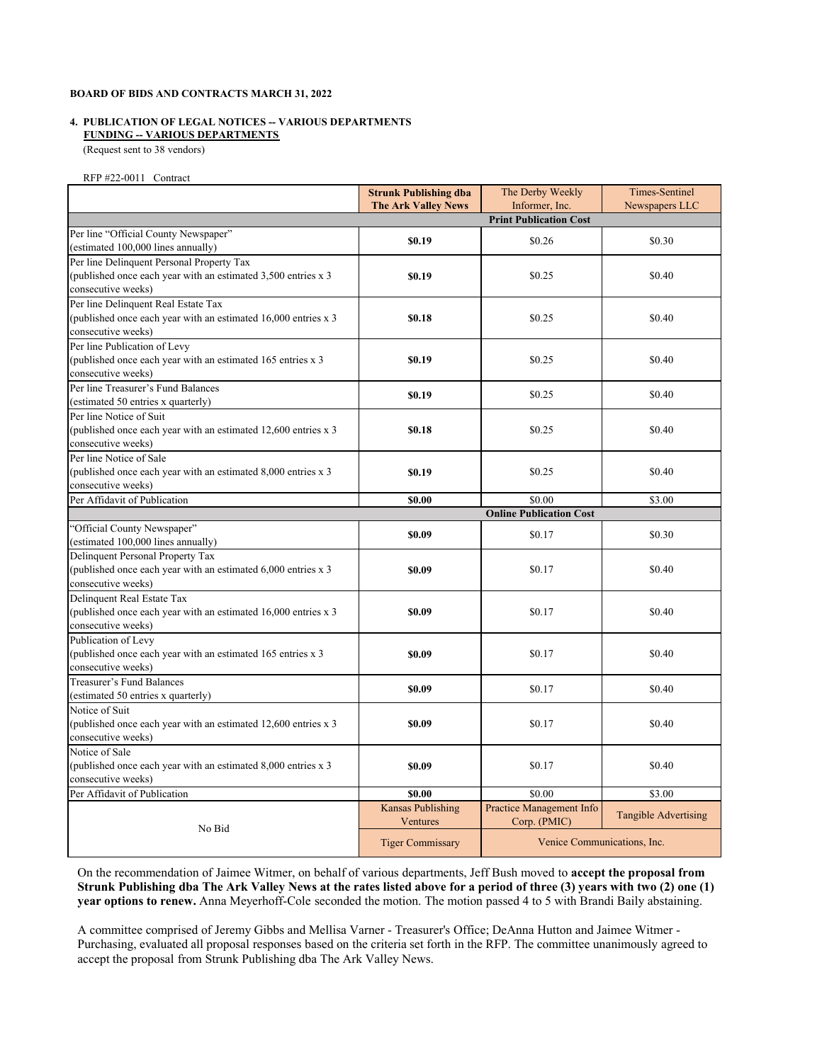### **4. PUBLICATION OF LEGAL NOTICES -- VARIOUS DEPARTMENTS FUNDING -- VARIOUS DEPARTMENTS**

(Request sent to 38 vendors)

#### RFP #22-0011 Contract

| Newspapers LLC<br><b>The Ark Valley News</b><br><b>Print Publication Cost</b><br>Per line "Official County Newspaper"<br>\$0.19<br>\$0.26<br>\$0.30<br>(estimated 100,000 lines annually)<br>Per line Delinquent Personal Property Tax<br>(published once each year with an estimated 3,500 entries x 3<br>\$0.19<br>\$0.25<br>\$0.40<br>consecutive weeks)<br>Per line Delinquent Real Estate Tax<br>(published once each year with an estimated 16,000 entries x 3<br>\$0.18<br>\$0.25<br>\$0.40<br>consecutive weeks)<br>Per line Publication of Levy<br>(published once each year with an estimated 165 entries x 3<br>\$0.25<br>\$0.40<br>\$0.19<br>consecutive weeks)<br>Per line Treasurer's Fund Balances<br>\$0.40<br>\$0.19<br>\$0.25<br>(estimated 50 entries x quarterly)<br>Per line Notice of Suit<br>(published once each year with an estimated 12,600 entries x 3<br>\$0.25<br>\$0.40<br>\$0.18<br>consecutive weeks)<br>Per line Notice of Sale<br>(published once each year with an estimated 8,000 entries x 3<br>\$0.19<br>\$0.25<br>\$0.40<br>consecutive weeks)<br>Per Affidavit of Publication<br>\$0.00<br>\$3.00<br>\$0.00<br><b>Online Publication Cost</b><br>"Official County Newspaper"<br>\$0.09<br>\$0.17<br>\$0.30<br>(estimated 100,000 lines annually)<br>Delinquent Personal Property Tax<br>(published once each year with an estimated 6,000 entries x 3<br>\$0.09<br>\$0.17<br>\$0.40<br>consecutive weeks)<br>Delinquent Real Estate Tax<br>(published once each year with an estimated 16,000 entries x 3<br>\$0.17<br>\$0.40<br>\$0.09<br>consecutive weeks)<br>Publication of Levy<br>(published once each year with an estimated 165 entries x 3<br>\$0.09<br>\$0.17<br>\$0.40<br>consecutive weeks)<br>Treasurer's Fund Balances<br>\$0.17<br>\$0.40<br>\$0.09<br>(estimated 50 entries x quarterly)<br>Notice of Suit<br>(published once each year with an estimated $12,600$ entries x 3<br>\$0.09<br>\$0.17<br>\$0.40<br>consecutive weeks)<br>Notice of Sale<br>(published once each year with an estimated 8,000 entries x 3<br>\$0.17<br>\$0.40<br>\$0.09<br>consecutive weeks)<br>Per Affidavit of Publication<br>\$0.00<br>\$3.00<br>\$0.00<br><b>Kansas Publishing</b><br>Practice Management Info<br><b>Tangible Advertising</b><br>Ventures<br>Corp. (PMIC)<br>No Bid<br>Venice Communications, Inc. | <b>Strunk Publishing dba</b> | The Derby Weekly<br>Informer, Inc. | <b>Times-Sentinel</b> |
|--------------------------------------------------------------------------------------------------------------------------------------------------------------------------------------------------------------------------------------------------------------------------------------------------------------------------------------------------------------------------------------------------------------------------------------------------------------------------------------------------------------------------------------------------------------------------------------------------------------------------------------------------------------------------------------------------------------------------------------------------------------------------------------------------------------------------------------------------------------------------------------------------------------------------------------------------------------------------------------------------------------------------------------------------------------------------------------------------------------------------------------------------------------------------------------------------------------------------------------------------------------------------------------------------------------------------------------------------------------------------------------------------------------------------------------------------------------------------------------------------------------------------------------------------------------------------------------------------------------------------------------------------------------------------------------------------------------------------------------------------------------------------------------------------------------------------------------------------------------------------------------------------------------------------------------------------------------------------------------------------------------------------------------------------------------------------------------------------------------------------------------------------------------------------------------------------------------------------------------------------------------------------------------------------------------------------------------------------------------|------------------------------|------------------------------------|-----------------------|
|                                                                                                                                                                                                                                                                                                                                                                                                                                                                                                                                                                                                                                                                                                                                                                                                                                                                                                                                                                                                                                                                                                                                                                                                                                                                                                                                                                                                                                                                                                                                                                                                                                                                                                                                                                                                                                                                                                                                                                                                                                                                                                                                                                                                                                                                                                                                                              |                              |                                    |                       |
|                                                                                                                                                                                                                                                                                                                                                                                                                                                                                                                                                                                                                                                                                                                                                                                                                                                                                                                                                                                                                                                                                                                                                                                                                                                                                                                                                                                                                                                                                                                                                                                                                                                                                                                                                                                                                                                                                                                                                                                                                                                                                                                                                                                                                                                                                                                                                              |                              |                                    |                       |
|                                                                                                                                                                                                                                                                                                                                                                                                                                                                                                                                                                                                                                                                                                                                                                                                                                                                                                                                                                                                                                                                                                                                                                                                                                                                                                                                                                                                                                                                                                                                                                                                                                                                                                                                                                                                                                                                                                                                                                                                                                                                                                                                                                                                                                                                                                                                                              |                              |                                    |                       |
|                                                                                                                                                                                                                                                                                                                                                                                                                                                                                                                                                                                                                                                                                                                                                                                                                                                                                                                                                                                                                                                                                                                                                                                                                                                                                                                                                                                                                                                                                                                                                                                                                                                                                                                                                                                                                                                                                                                                                                                                                                                                                                                                                                                                                                                                                                                                                              |                              |                                    |                       |
|                                                                                                                                                                                                                                                                                                                                                                                                                                                                                                                                                                                                                                                                                                                                                                                                                                                                                                                                                                                                                                                                                                                                                                                                                                                                                                                                                                                                                                                                                                                                                                                                                                                                                                                                                                                                                                                                                                                                                                                                                                                                                                                                                                                                                                                                                                                                                              |                              |                                    |                       |
|                                                                                                                                                                                                                                                                                                                                                                                                                                                                                                                                                                                                                                                                                                                                                                                                                                                                                                                                                                                                                                                                                                                                                                                                                                                                                                                                                                                                                                                                                                                                                                                                                                                                                                                                                                                                                                                                                                                                                                                                                                                                                                                                                                                                                                                                                                                                                              |                              |                                    |                       |
|                                                                                                                                                                                                                                                                                                                                                                                                                                                                                                                                                                                                                                                                                                                                                                                                                                                                                                                                                                                                                                                                                                                                                                                                                                                                                                                                                                                                                                                                                                                                                                                                                                                                                                                                                                                                                                                                                                                                                                                                                                                                                                                                                                                                                                                                                                                                                              |                              |                                    |                       |
|                                                                                                                                                                                                                                                                                                                                                                                                                                                                                                                                                                                                                                                                                                                                                                                                                                                                                                                                                                                                                                                                                                                                                                                                                                                                                                                                                                                                                                                                                                                                                                                                                                                                                                                                                                                                                                                                                                                                                                                                                                                                                                                                                                                                                                                                                                                                                              |                              |                                    |                       |
|                                                                                                                                                                                                                                                                                                                                                                                                                                                                                                                                                                                                                                                                                                                                                                                                                                                                                                                                                                                                                                                                                                                                                                                                                                                                                                                                                                                                                                                                                                                                                                                                                                                                                                                                                                                                                                                                                                                                                                                                                                                                                                                                                                                                                                                                                                                                                              |                              |                                    |                       |
|                                                                                                                                                                                                                                                                                                                                                                                                                                                                                                                                                                                                                                                                                                                                                                                                                                                                                                                                                                                                                                                                                                                                                                                                                                                                                                                                                                                                                                                                                                                                                                                                                                                                                                                                                                                                                                                                                                                                                                                                                                                                                                                                                                                                                                                                                                                                                              |                              |                                    |                       |
|                                                                                                                                                                                                                                                                                                                                                                                                                                                                                                                                                                                                                                                                                                                                                                                                                                                                                                                                                                                                                                                                                                                                                                                                                                                                                                                                                                                                                                                                                                                                                                                                                                                                                                                                                                                                                                                                                                                                                                                                                                                                                                                                                                                                                                                                                                                                                              |                              |                                    |                       |
|                                                                                                                                                                                                                                                                                                                                                                                                                                                                                                                                                                                                                                                                                                                                                                                                                                                                                                                                                                                                                                                                                                                                                                                                                                                                                                                                                                                                                                                                                                                                                                                                                                                                                                                                                                                                                                                                                                                                                                                                                                                                                                                                                                                                                                                                                                                                                              |                              |                                    |                       |
|                                                                                                                                                                                                                                                                                                                                                                                                                                                                                                                                                                                                                                                                                                                                                                                                                                                                                                                                                                                                                                                                                                                                                                                                                                                                                                                                                                                                                                                                                                                                                                                                                                                                                                                                                                                                                                                                                                                                                                                                                                                                                                                                                                                                                                                                                                                                                              |                              |                                    |                       |
|                                                                                                                                                                                                                                                                                                                                                                                                                                                                                                                                                                                                                                                                                                                                                                                                                                                                                                                                                                                                                                                                                                                                                                                                                                                                                                                                                                                                                                                                                                                                                                                                                                                                                                                                                                                                                                                                                                                                                                                                                                                                                                                                                                                                                                                                                                                                                              |                              |                                    |                       |
|                                                                                                                                                                                                                                                                                                                                                                                                                                                                                                                                                                                                                                                                                                                                                                                                                                                                                                                                                                                                                                                                                                                                                                                                                                                                                                                                                                                                                                                                                                                                                                                                                                                                                                                                                                                                                                                                                                                                                                                                                                                                                                                                                                                                                                                                                                                                                              |                              |                                    |                       |
|                                                                                                                                                                                                                                                                                                                                                                                                                                                                                                                                                                                                                                                                                                                                                                                                                                                                                                                                                                                                                                                                                                                                                                                                                                                                                                                                                                                                                                                                                                                                                                                                                                                                                                                                                                                                                                                                                                                                                                                                                                                                                                                                                                                                                                                                                                                                                              |                              |                                    |                       |
|                                                                                                                                                                                                                                                                                                                                                                                                                                                                                                                                                                                                                                                                                                                                                                                                                                                                                                                                                                                                                                                                                                                                                                                                                                                                                                                                                                                                                                                                                                                                                                                                                                                                                                                                                                                                                                                                                                                                                                                                                                                                                                                                                                                                                                                                                                                                                              |                              |                                    |                       |
|                                                                                                                                                                                                                                                                                                                                                                                                                                                                                                                                                                                                                                                                                                                                                                                                                                                                                                                                                                                                                                                                                                                                                                                                                                                                                                                                                                                                                                                                                                                                                                                                                                                                                                                                                                                                                                                                                                                                                                                                                                                                                                                                                                                                                                                                                                                                                              |                              |                                    |                       |
|                                                                                                                                                                                                                                                                                                                                                                                                                                                                                                                                                                                                                                                                                                                                                                                                                                                                                                                                                                                                                                                                                                                                                                                                                                                                                                                                                                                                                                                                                                                                                                                                                                                                                                                                                                                                                                                                                                                                                                                                                                                                                                                                                                                                                                                                                                                                                              |                              |                                    |                       |
|                                                                                                                                                                                                                                                                                                                                                                                                                                                                                                                                                                                                                                                                                                                                                                                                                                                                                                                                                                                                                                                                                                                                                                                                                                                                                                                                                                                                                                                                                                                                                                                                                                                                                                                                                                                                                                                                                                                                                                                                                                                                                                                                                                                                                                                                                                                                                              |                              |                                    |                       |
|                                                                                                                                                                                                                                                                                                                                                                                                                                                                                                                                                                                                                                                                                                                                                                                                                                                                                                                                                                                                                                                                                                                                                                                                                                                                                                                                                                                                                                                                                                                                                                                                                                                                                                                                                                                                                                                                                                                                                                                                                                                                                                                                                                                                                                                                                                                                                              |                              |                                    |                       |
|                                                                                                                                                                                                                                                                                                                                                                                                                                                                                                                                                                                                                                                                                                                                                                                                                                                                                                                                                                                                                                                                                                                                                                                                                                                                                                                                                                                                                                                                                                                                                                                                                                                                                                                                                                                                                                                                                                                                                                                                                                                                                                                                                                                                                                                                                                                                                              |                              |                                    |                       |
|                                                                                                                                                                                                                                                                                                                                                                                                                                                                                                                                                                                                                                                                                                                                                                                                                                                                                                                                                                                                                                                                                                                                                                                                                                                                                                                                                                                                                                                                                                                                                                                                                                                                                                                                                                                                                                                                                                                                                                                                                                                                                                                                                                                                                                                                                                                                                              |                              |                                    |                       |
|                                                                                                                                                                                                                                                                                                                                                                                                                                                                                                                                                                                                                                                                                                                                                                                                                                                                                                                                                                                                                                                                                                                                                                                                                                                                                                                                                                                                                                                                                                                                                                                                                                                                                                                                                                                                                                                                                                                                                                                                                                                                                                                                                                                                                                                                                                                                                              |                              |                                    |                       |
|                                                                                                                                                                                                                                                                                                                                                                                                                                                                                                                                                                                                                                                                                                                                                                                                                                                                                                                                                                                                                                                                                                                                                                                                                                                                                                                                                                                                                                                                                                                                                                                                                                                                                                                                                                                                                                                                                                                                                                                                                                                                                                                                                                                                                                                                                                                                                              |                              |                                    |                       |
|                                                                                                                                                                                                                                                                                                                                                                                                                                                                                                                                                                                                                                                                                                                                                                                                                                                                                                                                                                                                                                                                                                                                                                                                                                                                                                                                                                                                                                                                                                                                                                                                                                                                                                                                                                                                                                                                                                                                                                                                                                                                                                                                                                                                                                                                                                                                                              |                              |                                    |                       |
|                                                                                                                                                                                                                                                                                                                                                                                                                                                                                                                                                                                                                                                                                                                                                                                                                                                                                                                                                                                                                                                                                                                                                                                                                                                                                                                                                                                                                                                                                                                                                                                                                                                                                                                                                                                                                                                                                                                                                                                                                                                                                                                                                                                                                                                                                                                                                              |                              |                                    |                       |
|                                                                                                                                                                                                                                                                                                                                                                                                                                                                                                                                                                                                                                                                                                                                                                                                                                                                                                                                                                                                                                                                                                                                                                                                                                                                                                                                                                                                                                                                                                                                                                                                                                                                                                                                                                                                                                                                                                                                                                                                                                                                                                                                                                                                                                                                                                                                                              |                              |                                    |                       |
|                                                                                                                                                                                                                                                                                                                                                                                                                                                                                                                                                                                                                                                                                                                                                                                                                                                                                                                                                                                                                                                                                                                                                                                                                                                                                                                                                                                                                                                                                                                                                                                                                                                                                                                                                                                                                                                                                                                                                                                                                                                                                                                                                                                                                                                                                                                                                              |                              |                                    |                       |
|                                                                                                                                                                                                                                                                                                                                                                                                                                                                                                                                                                                                                                                                                                                                                                                                                                                                                                                                                                                                                                                                                                                                                                                                                                                                                                                                                                                                                                                                                                                                                                                                                                                                                                                                                                                                                                                                                                                                                                                                                                                                                                                                                                                                                                                                                                                                                              |                              |                                    |                       |
|                                                                                                                                                                                                                                                                                                                                                                                                                                                                                                                                                                                                                                                                                                                                                                                                                                                                                                                                                                                                                                                                                                                                                                                                                                                                                                                                                                                                                                                                                                                                                                                                                                                                                                                                                                                                                                                                                                                                                                                                                                                                                                                                                                                                                                                                                                                                                              |                              |                                    |                       |
|                                                                                                                                                                                                                                                                                                                                                                                                                                                                                                                                                                                                                                                                                                                                                                                                                                                                                                                                                                                                                                                                                                                                                                                                                                                                                                                                                                                                                                                                                                                                                                                                                                                                                                                                                                                                                                                                                                                                                                                                                                                                                                                                                                                                                                                                                                                                                              |                              |                                    |                       |
|                                                                                                                                                                                                                                                                                                                                                                                                                                                                                                                                                                                                                                                                                                                                                                                                                                                                                                                                                                                                                                                                                                                                                                                                                                                                                                                                                                                                                                                                                                                                                                                                                                                                                                                                                                                                                                                                                                                                                                                                                                                                                                                                                                                                                                                                                                                                                              |                              |                                    |                       |
|                                                                                                                                                                                                                                                                                                                                                                                                                                                                                                                                                                                                                                                                                                                                                                                                                                                                                                                                                                                                                                                                                                                                                                                                                                                                                                                                                                                                                                                                                                                                                                                                                                                                                                                                                                                                                                                                                                                                                                                                                                                                                                                                                                                                                                                                                                                                                              |                              |                                    |                       |
|                                                                                                                                                                                                                                                                                                                                                                                                                                                                                                                                                                                                                                                                                                                                                                                                                                                                                                                                                                                                                                                                                                                                                                                                                                                                                                                                                                                                                                                                                                                                                                                                                                                                                                                                                                                                                                                                                                                                                                                                                                                                                                                                                                                                                                                                                                                                                              |                              |                                    |                       |
|                                                                                                                                                                                                                                                                                                                                                                                                                                                                                                                                                                                                                                                                                                                                                                                                                                                                                                                                                                                                                                                                                                                                                                                                                                                                                                                                                                                                                                                                                                                                                                                                                                                                                                                                                                                                                                                                                                                                                                                                                                                                                                                                                                                                                                                                                                                                                              |                              |                                    |                       |
|                                                                                                                                                                                                                                                                                                                                                                                                                                                                                                                                                                                                                                                                                                                                                                                                                                                                                                                                                                                                                                                                                                                                                                                                                                                                                                                                                                                                                                                                                                                                                                                                                                                                                                                                                                                                                                                                                                                                                                                                                                                                                                                                                                                                                                                                                                                                                              |                              |                                    |                       |
|                                                                                                                                                                                                                                                                                                                                                                                                                                                                                                                                                                                                                                                                                                                                                                                                                                                                                                                                                                                                                                                                                                                                                                                                                                                                                                                                                                                                                                                                                                                                                                                                                                                                                                                                                                                                                                                                                                                                                                                                                                                                                                                                                                                                                                                                                                                                                              |                              |                                    |                       |
|                                                                                                                                                                                                                                                                                                                                                                                                                                                                                                                                                                                                                                                                                                                                                                                                                                                                                                                                                                                                                                                                                                                                                                                                                                                                                                                                                                                                                                                                                                                                                                                                                                                                                                                                                                                                                                                                                                                                                                                                                                                                                                                                                                                                                                                                                                                                                              |                              |                                    |                       |
|                                                                                                                                                                                                                                                                                                                                                                                                                                                                                                                                                                                                                                                                                                                                                                                                                                                                                                                                                                                                                                                                                                                                                                                                                                                                                                                                                                                                                                                                                                                                                                                                                                                                                                                                                                                                                                                                                                                                                                                                                                                                                                                                                                                                                                                                                                                                                              |                              |                                    |                       |
|                                                                                                                                                                                                                                                                                                                                                                                                                                                                                                                                                                                                                                                                                                                                                                                                                                                                                                                                                                                                                                                                                                                                                                                                                                                                                                                                                                                                                                                                                                                                                                                                                                                                                                                                                                                                                                                                                                                                                                                                                                                                                                                                                                                                                                                                                                                                                              |                              |                                    |                       |
|                                                                                                                                                                                                                                                                                                                                                                                                                                                                                                                                                                                                                                                                                                                                                                                                                                                                                                                                                                                                                                                                                                                                                                                                                                                                                                                                                                                                                                                                                                                                                                                                                                                                                                                                                                                                                                                                                                                                                                                                                                                                                                                                                                                                                                                                                                                                                              |                              |                                    |                       |
|                                                                                                                                                                                                                                                                                                                                                                                                                                                                                                                                                                                                                                                                                                                                                                                                                                                                                                                                                                                                                                                                                                                                                                                                                                                                                                                                                                                                                                                                                                                                                                                                                                                                                                                                                                                                                                                                                                                                                                                                                                                                                                                                                                                                                                                                                                                                                              |                              |                                    |                       |
|                                                                                                                                                                                                                                                                                                                                                                                                                                                                                                                                                                                                                                                                                                                                                                                                                                                                                                                                                                                                                                                                                                                                                                                                                                                                                                                                                                                                                                                                                                                                                                                                                                                                                                                                                                                                                                                                                                                                                                                                                                                                                                                                                                                                                                                                                                                                                              |                              |                                    |                       |
|                                                                                                                                                                                                                                                                                                                                                                                                                                                                                                                                                                                                                                                                                                                                                                                                                                                                                                                                                                                                                                                                                                                                                                                                                                                                                                                                                                                                                                                                                                                                                                                                                                                                                                                                                                                                                                                                                                                                                                                                                                                                                                                                                                                                                                                                                                                                                              |                              |                                    |                       |
|                                                                                                                                                                                                                                                                                                                                                                                                                                                                                                                                                                                                                                                                                                                                                                                                                                                                                                                                                                                                                                                                                                                                                                                                                                                                                                                                                                                                                                                                                                                                                                                                                                                                                                                                                                                                                                                                                                                                                                                                                                                                                                                                                                                                                                                                                                                                                              | <b>Tiger Commissary</b>      |                                    |                       |

On the recommendation of Jaimee Witmer, on behalf of various departments, Jeff Bush moved to **accept the proposal from Strunk Publishing dba The Ark Valley News at the rates listed above for a period of three (3) years with two (2) one (1) year options to renew.** Anna Meyerhoff-Cole seconded the motion. The motion passed 4 to 5 with Brandi Baily abstaining.

A committee comprised of Jeremy Gibbs and Mellisa Varner - Treasurer's Office; DeAnna Hutton and Jaimee Witmer - Purchasing, evaluated all proposal responses based on the criteria set forth in the RFP. The committee unanimously agreed to accept the proposal from Strunk Publishing dba The Ark Valley News.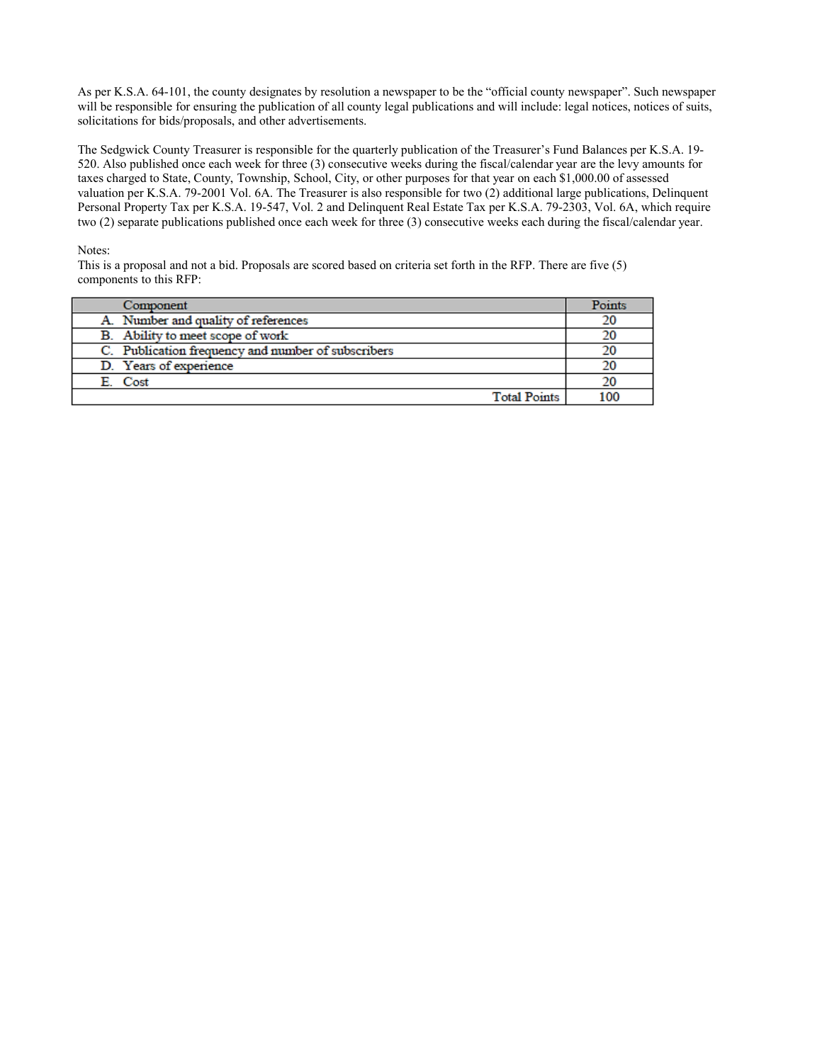As per K.S.A. 64-101, the county designates by resolution a newspaper to be the "official county newspaper". Such newspaper will be responsible for ensuring the publication of all county legal publications and will include: legal notices, notices of suits, solicitations for bids/proposals, and other advertisements.

The Sedgwick County Treasurer is responsible for the quarterly publication of the Treasurer's Fund Balances per K.S.A. 19- 520. Also published once each week for three (3) consecutive weeks during the fiscal/calendar year are the levy amounts for taxes charged to State, County, Township, School, City, or other purposes for that year on each \$1,000.00 of assessed valuation per K.S.A. 79-2001 Vol. 6A. The Treasurer is also responsible for two (2) additional large publications, Delinquent Personal Property Tax per K.S.A. 19-547, Vol. 2 and Delinquent Real Estate Tax per K.S.A. 79-2303, Vol. 6A, which require two (2) separate publications published once each week for three (3) consecutive weeks each during the fiscal/calendar year.

### Notes:

This is a proposal and not a bid. Proposals are scored based on criteria set forth in the RFP. There are five (5) components to this RFP:

| Component                                          | Points |
|----------------------------------------------------|--------|
| A. Number and quality of references                | 20     |
| B. Ability to meet scope of work                   | 20     |
| C. Publication frequency and number of subscribers |        |
| D. Years of experience                             |        |
| E. Cost                                            | 20     |
| <b>Total Points</b>                                | 100    |